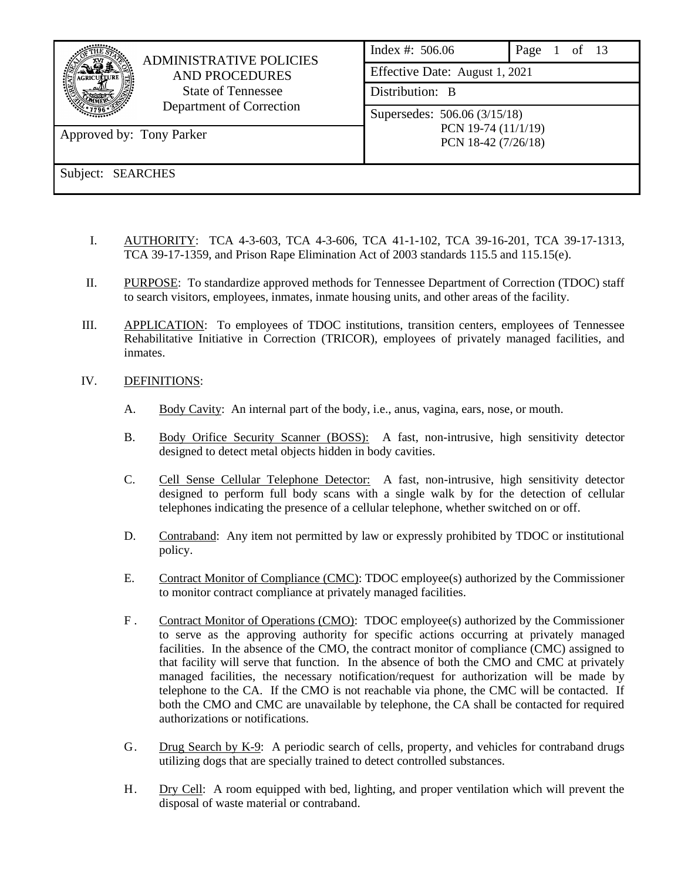| <b>ADMINISTRATIVE POLICIES</b><br><b>AND PROCEDURES</b><br><b>State of Tennessee</b><br>Department of Correction<br>Approved by: Tony Parker | Index #: $506.06$<br>Effective Date: August 1, 2021<br>Distribution: B<br>Supersedes: 506.06 (3/15/18)<br>PCN 19-74 (11/1/19)<br>PCN 18-42 (7/26/18) | of $13$<br>Page |
|----------------------------------------------------------------------------------------------------------------------------------------------|------------------------------------------------------------------------------------------------------------------------------------------------------|-----------------|
| Subject: SEARCHES                                                                                                                            |                                                                                                                                                      |                 |

- I. AUTHORITY: TCA 4-3-603, TCA 4-3-606, TCA 41-1-102, TCA 39-16-201, TCA 39-17-1313, TCA 39-17-1359, and Prison Rape Elimination Act of 2003 standards 115.5 and 115.15(e).
- II. PURPOSE: To standardize approved methods for Tennessee Department of Correction (TDOC) staff to search visitors, employees, inmates, inmate housing units, and other areas of the facility.
- III. APPLICATION: To employees of TDOC institutions, transition centers, employees of Tennessee Rehabilitative Initiative in Correction (TRICOR), employees of privately managed facilities, and inmates.

# IV. DEFINITIONS:

- A. Body Cavity: An internal part of the body, i.e., anus, vagina, ears, nose, or mouth.
- B. Body Orifice Security Scanner (BOSS): A fast, non-intrusive, high sensitivity detector designed to detect metal objects hidden in body cavities.
- C. Cell Sense Cellular Telephone Detector: A fast, non-intrusive, high sensitivity detector designed to perform full body scans with a single walk by for the detection of cellular telephones indicating the presence of a cellular telephone, whether switched on or off.
- D. Contraband: Any item not permitted by law or expressly prohibited by TDOC or institutional policy.
- E. Contract Monitor of Compliance (CMC): TDOC employee(s) authorized by the Commissioner to monitor contract compliance at privately managed facilities.
- F . Contract Monitor of Operations (CMO): TDOC employee(s) authorized by the Commissioner to serve as the approving authority for specific actions occurring at privately managed facilities. In the absence of the CMO, the contract monitor of compliance (CMC) assigned to that facility will serve that function. In the absence of both the CMO and CMC at privately managed facilities, the necessary notification/request for authorization will be made by telephone to the CA. If the CMO is not reachable via phone, the CMC will be contacted. If both the CMO and CMC are unavailable by telephone, the CA shall be contacted for required authorizations or notifications.
- G. Drug Search by K-9: A periodic search of cells, property, and vehicles for contraband drugs utilizing dogs that are specially trained to detect controlled substances.
- H. Dry Cell: A room equipped with bed, lighting, and proper ventilation which will prevent the disposal of waste material or contraband.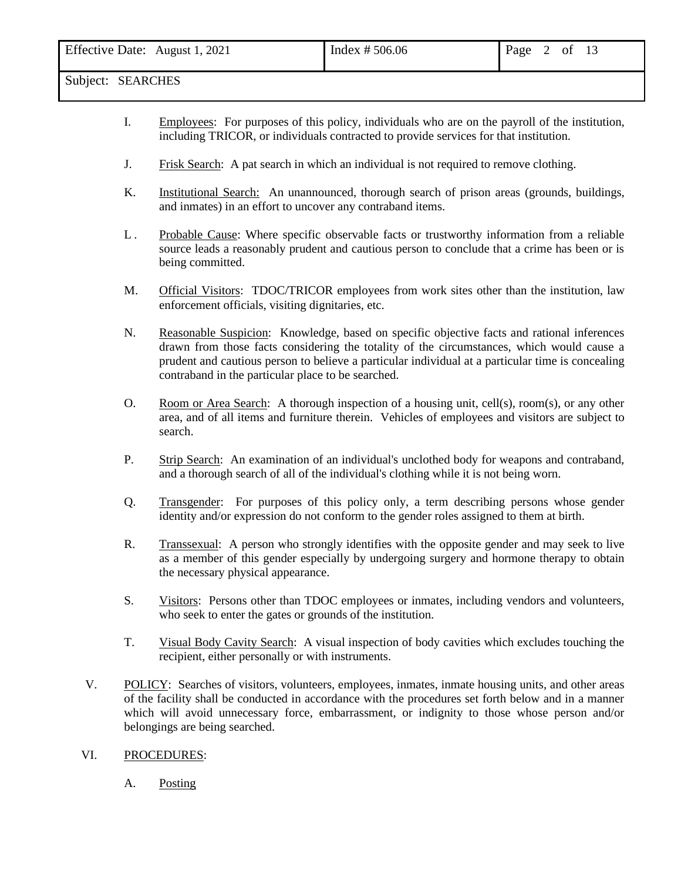| Effective Date:<br>August 1, 2021 | Index $# 506.06$ | Page | ΟÌ |  |
|-----------------------------------|------------------|------|----|--|
| .                                 |                  |      |    |  |

- I. Employees: For purposes of this policy, individuals who are on the payroll of the institution, including TRICOR, or individuals contracted to provide services for that institution.
- J. Frisk Search: A pat search in which an individual is not required to remove clothing.
- K. Institutional Search: An unannounced, thorough search of prison areas (grounds, buildings, and inmates) in an effort to uncover any contraband items.
- L . Probable Cause: Where specific observable facts or trustworthy information from a reliable source leads a reasonably prudent and cautious person to conclude that a crime has been or is being committed.
- M. Official Visitors: TDOC/TRICOR employees from work sites other than the institution, law enforcement officials, visiting dignitaries, etc.
- N. Reasonable Suspicion: Knowledge, based on specific objective facts and rational inferences drawn from those facts considering the totality of the circumstances, which would cause a prudent and cautious person to believe a particular individual at a particular time is concealing contraband in the particular place to be searched.
- O. Room or Area Search: A thorough inspection of a housing unit, cell(s), room(s), or any other area, and of all items and furniture therein. Vehicles of employees and visitors are subject to search.
- P. Strip Search: An examination of an individual's unclothed body for weapons and contraband, and a thorough search of all of the individual's clothing while it is not being worn.
- Q. Transgender: For purposes of this policy only, a term describing persons whose gender identity and/or expression do not conform to the gender roles assigned to them at birth.
- R. Transsexual: A person who strongly identifies with the opposite gender and may seek to live as a member of this gender especially by undergoing surgery and hormone therapy to obtain the necessary physical appearance.
- S. Visitors: Persons other than TDOC employees or inmates, including vendors and volunteers, who seek to enter the gates or grounds of the institution.
- T. Visual Body Cavity Search: A visual inspection of body cavities which excludes touching the recipient, either personally or with instruments.
- V. POLICY: Searches of visitors, volunteers, employees, inmates, inmate housing units, and other areas of the facility shall be conducted in accordance with the procedures set forth below and in a manner which will avoid unnecessary force, embarrassment, or indignity to those whose person and/or belongings are being searched.

#### VI. PROCEDURES:

A. Posting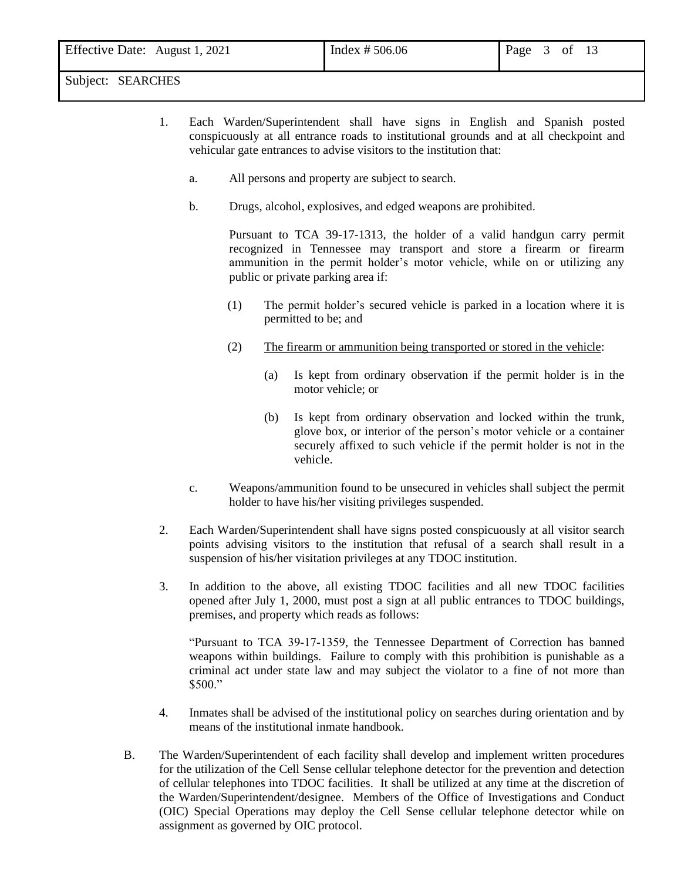- 1. Each Warden/Superintendent shall have signs in English and Spanish posted conspicuously at all entrance roads to institutional grounds and at all checkpoint and vehicular gate entrances to advise visitors to the institution that:
	- a. All persons and property are subject to search.
	- b. Drugs, alcohol, explosives, and edged weapons are prohibited.

Pursuant to TCA 39-17-1313, the holder of a valid handgun carry permit recognized in Tennessee may transport and store a firearm or firearm ammunition in the permit holder's motor vehicle, while on or utilizing any public or private parking area if:

- (1) The permit holder's secured vehicle is parked in a location where it is permitted to be; and
- (2) The firearm or ammunition being transported or stored in the vehicle:
	- (a) Is kept from ordinary observation if the permit holder is in the motor vehicle; or
	- (b) Is kept from ordinary observation and locked within the trunk, glove box, or interior of the person's motor vehicle or a container securely affixed to such vehicle if the permit holder is not in the vehicle.
- c. Weapons/ammunition found to be unsecured in vehicles shall subject the permit holder to have his/her visiting privileges suspended.
- 2. Each Warden/Superintendent shall have signs posted conspicuously at all visitor search points advising visitors to the institution that refusal of a search shall result in a suspension of his/her visitation privileges at any TDOC institution.
- 3. In addition to the above, all existing TDOC facilities and all new TDOC facilities opened after July 1, 2000, must post a sign at all public entrances to TDOC buildings, premises, and property which reads as follows:

"Pursuant to TCA 39-17-1359, the Tennessee Department of Correction has banned weapons within buildings. Failure to comply with this prohibition is punishable as a criminal act under state law and may subject the violator to a fine of not more than \$500."

- 4. Inmates shall be advised of the institutional policy on searches during orientation and by means of the institutional inmate handbook.
- B. The Warden/Superintendent of each facility shall develop and implement written procedures for the utilization of the Cell Sense cellular telephone detector for the prevention and detection of cellular telephones into TDOC facilities. It shall be utilized at any time at the discretion of the Warden/Superintendent/designee. Members of the Office of Investigations and Conduct (OIC) Special Operations may deploy the Cell Sense cellular telephone detector while on assignment as governed by OIC protocol.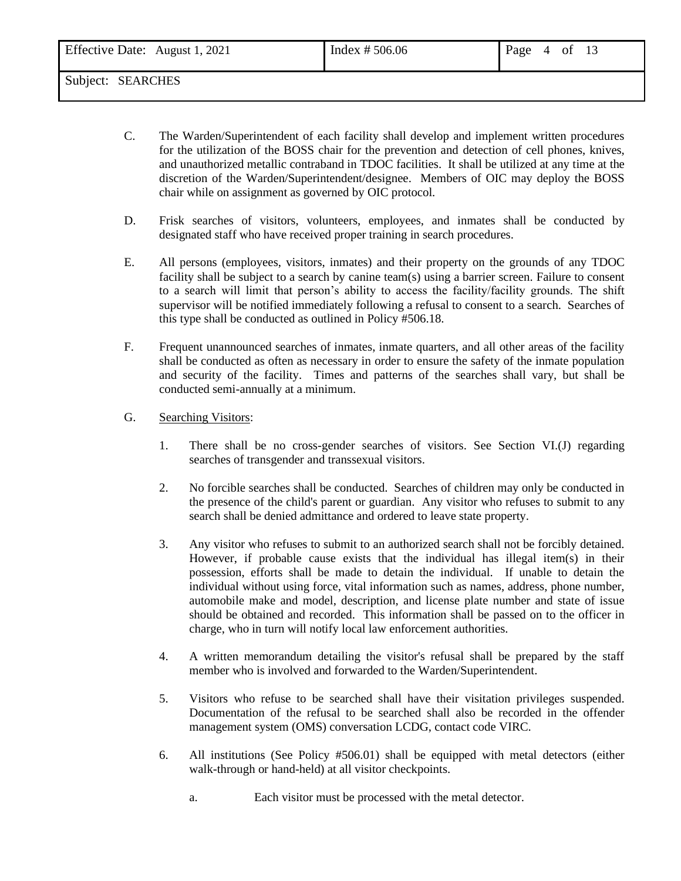| Effective Date: August 1, 2021 | Index $# 506.06$ | Page<br>0Ì<br>$\overline{4}$ |
|--------------------------------|------------------|------------------------------|
| .                              |                  |                              |

- C. The Warden/Superintendent of each facility shall develop and implement written procedures for the utilization of the BOSS chair for the prevention and detection of cell phones, knives, and unauthorized metallic contraband in TDOC facilities. It shall be utilized at any time at the discretion of the Warden/Superintendent/designee. Members of OIC may deploy the BOSS chair while on assignment as governed by OIC protocol.
- D. Frisk searches of visitors, volunteers, employees, and inmates shall be conducted by designated staff who have received proper training in search procedures.
- E. All persons (employees, visitors, inmates) and their property on the grounds of any TDOC facility shall be subject to a search by canine team(s) using a barrier screen. Failure to consent to a search will limit that person's ability to access the facility/facility grounds. The shift supervisor will be notified immediately following a refusal to consent to a search. Searches of this type shall be conducted as outlined in Policy #506.18.
- F. Frequent unannounced searches of inmates, inmate quarters, and all other areas of the facility shall be conducted as often as necessary in order to ensure the safety of the inmate population and security of the facility. Times and patterns of the searches shall vary, but shall be conducted semi-annually at a minimum.
- G. Searching Visitors:
	- 1. There shall be no cross-gender searches of visitors. See Section VI.(J) regarding searches of transgender and transsexual visitors.
	- 2. No forcible searches shall be conducted. Searches of children may only be conducted in the presence of the child's parent or guardian. Any visitor who refuses to submit to any search shall be denied admittance and ordered to leave state property.
	- 3. Any visitor who refuses to submit to an authorized search shall not be forcibly detained. However, if probable cause exists that the individual has illegal item(s) in their possession, efforts shall be made to detain the individual. If unable to detain the individual without using force, vital information such as names, address, phone number, automobile make and model, description, and license plate number and state of issue should be obtained and recorded. This information shall be passed on to the officer in charge, who in turn will notify local law enforcement authorities.
	- 4. A written memorandum detailing the visitor's refusal shall be prepared by the staff member who is involved and forwarded to the Warden/Superintendent.
	- 5. Visitors who refuse to be searched shall have their visitation privileges suspended. Documentation of the refusal to be searched shall also be recorded in the offender management system (OMS) conversation LCDG, contact code VIRC.
	- 6. All institutions (See Policy #506.01) shall be equipped with metal detectors (either walk-through or hand-held) at all visitor checkpoints.
		- a. Each visitor must be processed with the metal detector.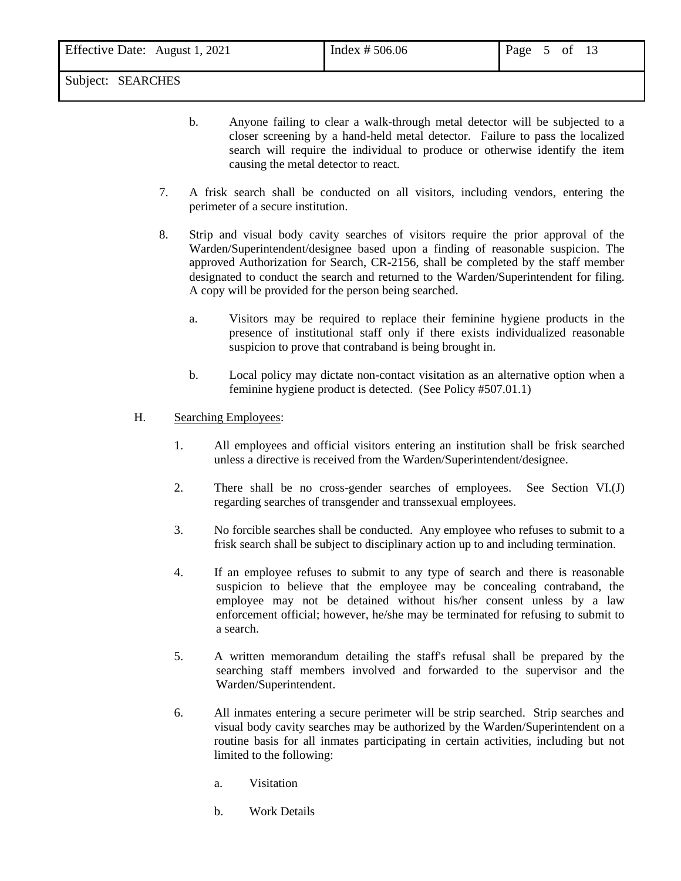b. Anyone failing to clear a walk-through metal detector will be subjected to a closer screening by a hand-held metal detector. Failure to pass the localized search will require the individual to produce or otherwise identify the item causing the metal detector to react.

- 7. A frisk search shall be conducted on all visitors, including vendors, entering the perimeter of a secure institution.
- 8. Strip and visual body cavity searches of visitors require the prior approval of the Warden/Superintendent/designee based upon a finding of reasonable suspicion. The approved Authorization for Search, CR-2156, shall be completed by the staff member designated to conduct the search and returned to the Warden/Superintendent for filing. A copy will be provided for the person being searched.
	- a. Visitors may be required to replace their feminine hygiene products in the presence of institutional staff only if there exists individualized reasonable suspicion to prove that contraband is being brought in.
	- b. Local policy may dictate non-contact visitation as an alternative option when a feminine hygiene product is detected. (See Policy #507.01.1)

## H. Searching Employees:

- 1. All employees and official visitors entering an institution shall be frisk searched unless a directive is received from the Warden/Superintendent/designee.
- 2. There shall be no cross-gender searches of employees. See Section VI.(J) regarding searches of transgender and transsexual employees.
- 3. No forcible searches shall be conducted. Any employee who refuses to submit to a frisk search shall be subject to disciplinary action up to and including termination.
- 4. If an employee refuses to submit to any type of search and there is reasonable suspicion to believe that the employee may be concealing contraband, the employee may not be detained without his/her consent unless by a law enforcement official; however, he/she may be terminated for refusing to submit to a search.
- 5. A written memorandum detailing the staff's refusal shall be prepared by the searching staff members involved and forwarded to the supervisor and the Warden/Superintendent.
- 6. All inmates entering a secure perimeter will be strip searched. Strip searches and visual body cavity searches may be authorized by the Warden/Superintendent on a routine basis for all inmates participating in certain activities, including but not limited to the following:
	- a. Visitation
	- b. Work Details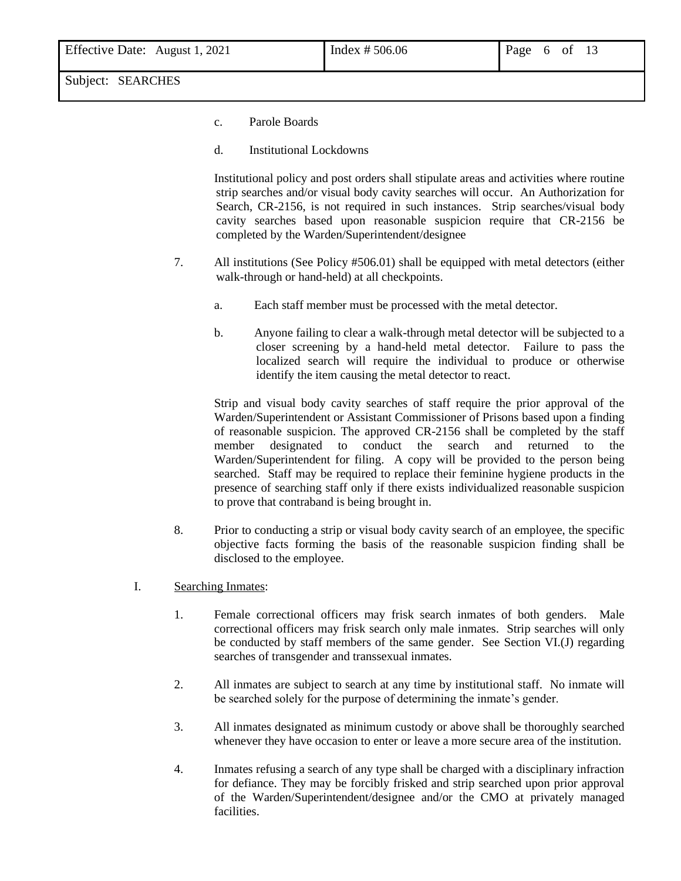- c. Parole Boards
- d. Institutional Lockdowns

Institutional policy and post orders shall stipulate areas and activities where routine strip searches and/or visual body cavity searches will occur. An Authorization for Search, CR-2156, is not required in such instances. Strip searches/visual body cavity searches based upon reasonable suspicion require that CR-2156 be completed by the Warden/Superintendent/designee

- 7. All institutions (See Policy #506.01) shall be equipped with metal detectors (either walk-through or hand-held) at all checkpoints.
	- a. Each staff member must be processed with the metal detector.
	- b. Anyone failing to clear a walk-through metal detector will be subjected to a closer screening by a hand-held metal detector. Failure to pass the localized search will require the individual to produce or otherwise identify the item causing the metal detector to react.

Strip and visual body cavity searches of staff require the prior approval of the Warden/Superintendent or Assistant Commissioner of Prisons based upon a finding of reasonable suspicion. The approved CR-2156 shall be completed by the staff member designated to conduct the search and returned to the Warden/Superintendent for filing. A copy will be provided to the person being searched. Staff may be required to replace their feminine hygiene products in the presence of searching staff only if there exists individualized reasonable suspicion to prove that contraband is being brought in.

- 8. Prior to conducting a strip or visual body cavity search of an employee, the specific objective facts forming the basis of the reasonable suspicion finding shall be disclosed to the employee.
- I. Searching Inmates:
	- 1. Female correctional officers may frisk search inmates of both genders. Male correctional officers may frisk search only male inmates. Strip searches will only be conducted by staff members of the same gender. See Section VI.(J) regarding searches of transgender and transsexual inmates.
	- 2. All inmates are subject to search at any time by institutional staff. No inmate will be searched solely for the purpose of determining the inmate's gender.
	- 3. All inmates designated as minimum custody or above shall be thoroughly searched whenever they have occasion to enter or leave a more secure area of the institution.
	- 4. Inmates refusing a search of any type shall be charged with a disciplinary infraction for defiance. They may be forcibly frisked and strip searched upon prior approval of the Warden/Superintendent/designee and/or the CMO at privately managed facilities.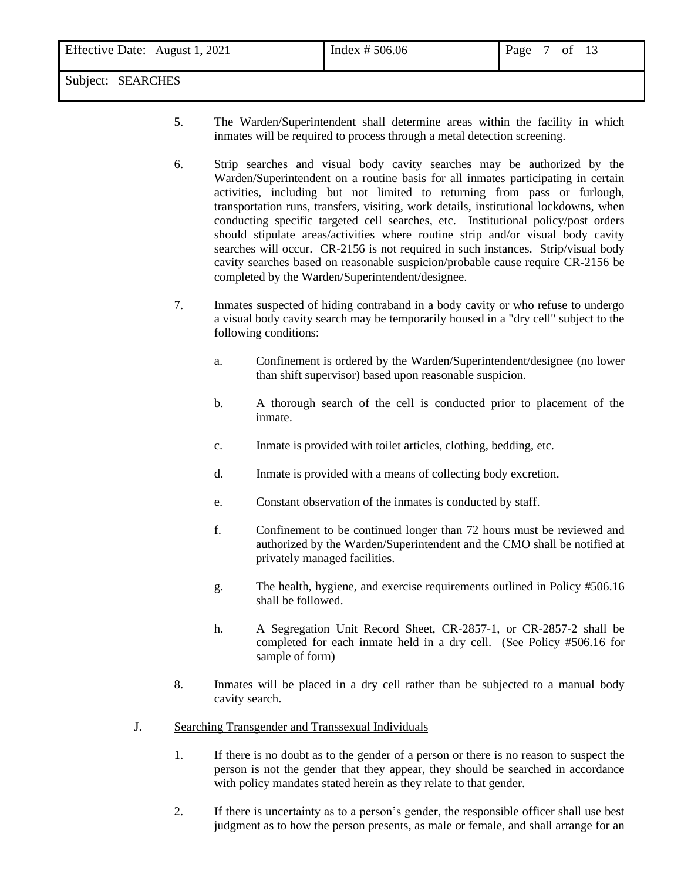- 5. The Warden/Superintendent shall determine areas within the facility in which inmates will be required to process through a metal detection screening.
- 6. Strip searches and visual body cavity searches may be authorized by the Warden/Superintendent on a routine basis for all inmates participating in certain activities, including but not limited to returning from pass or furlough, transportation runs, transfers, visiting, work details, institutional lockdowns, when conducting specific targeted cell searches, etc. Institutional policy/post orders should stipulate areas/activities where routine strip and/or visual body cavity searches will occur. CR-2156 is not required in such instances. Strip/visual body cavity searches based on reasonable suspicion/probable cause require CR-2156 be completed by the Warden/Superintendent/designee.
- 7. Inmates suspected of hiding contraband in a body cavity or who refuse to undergo a visual body cavity search may be temporarily housed in a "dry cell" subject to the following conditions:
	- a. Confinement is ordered by the Warden/Superintendent/designee (no lower than shift supervisor) based upon reasonable suspicion.
	- b. A thorough search of the cell is conducted prior to placement of the inmate.
	- c. Inmate is provided with toilet articles, clothing, bedding, etc.
	- d. Inmate is provided with a means of collecting body excretion.
	- e. Constant observation of the inmates is conducted by staff.
	- f. Confinement to be continued longer than 72 hours must be reviewed and authorized by the Warden/Superintendent and the CMO shall be notified at privately managed facilities.
	- g. The health, hygiene, and exercise requirements outlined in Policy #506.16 shall be followed.
	- h. A Segregation Unit Record Sheet, CR-2857-1, or CR-2857-2 shall be completed for each inmate held in a dry cell. (See Policy #506.16 for sample of form)
- 8. Inmates will be placed in a dry cell rather than be subjected to a manual body cavity search.
- J. Searching Transgender and Transsexual Individuals
	- 1. If there is no doubt as to the gender of a person or there is no reason to suspect the person is not the gender that they appear, they should be searched in accordance with policy mandates stated herein as they relate to that gender.
	- 2. If there is uncertainty as to a person's gender, the responsible officer shall use best judgment as to how the person presents, as male or female, and shall arrange for an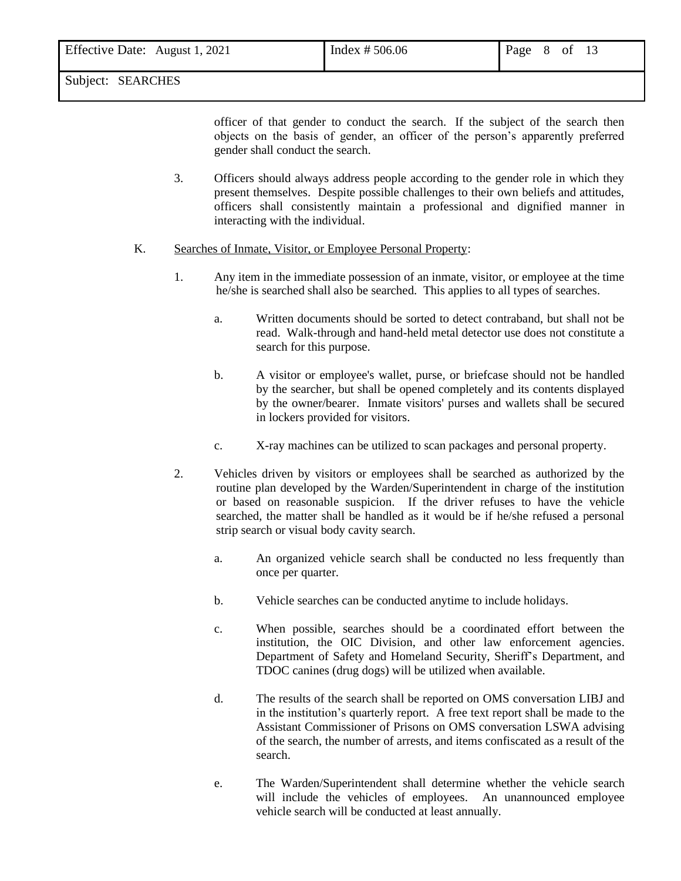officer of that gender to conduct the search. If the subject of the search then objects on the basis of gender, an officer of the person's apparently preferred gender shall conduct the search.

- 3. Officers should always address people according to the gender role in which they present themselves. Despite possible challenges to their own beliefs and attitudes, officers shall consistently maintain a professional and dignified manner in interacting with the individual.
- K. Searches of Inmate, Visitor, or Employee Personal Property:
	- 1. Any item in the immediate possession of an inmate, visitor, or employee at the time he/she is searched shall also be searched. This applies to all types of searches.
		- a. Written documents should be sorted to detect contraband, but shall not be read. Walk-through and hand-held metal detector use does not constitute a search for this purpose.
		- b. A visitor or employee's wallet, purse, or briefcase should not be handled by the searcher, but shall be opened completely and its contents displayed by the owner/bearer. Inmate visitors' purses and wallets shall be secured in lockers provided for visitors.
		- c. X-ray machines can be utilized to scan packages and personal property.
	- 2. Vehicles driven by visitors or employees shall be searched as authorized by the routine plan developed by the Warden/Superintendent in charge of the institution or based on reasonable suspicion. If the driver refuses to have the vehicle searched, the matter shall be handled as it would be if he/she refused a personal strip search or visual body cavity search.
		- a. An organized vehicle search shall be conducted no less frequently than once per quarter.
		- b. Vehicle searches can be conducted anytime to include holidays.
		- c. When possible, searches should be a coordinated effort between the institution, the OIC Division, and other law enforcement agencies. Department of Safety and Homeland Security, Sheriff's Department, and TDOC canines (drug dogs) will be utilized when available.
		- d. The results of the search shall be reported on OMS conversation LIBJ and in the institution's quarterly report. A free text report shall be made to the Assistant Commissioner of Prisons on OMS conversation LSWA advising of the search, the number of arrests, and items confiscated as a result of the search.
		- e. The Warden/Superintendent shall determine whether the vehicle search will include the vehicles of employees. An unannounced employee vehicle search will be conducted at least annually.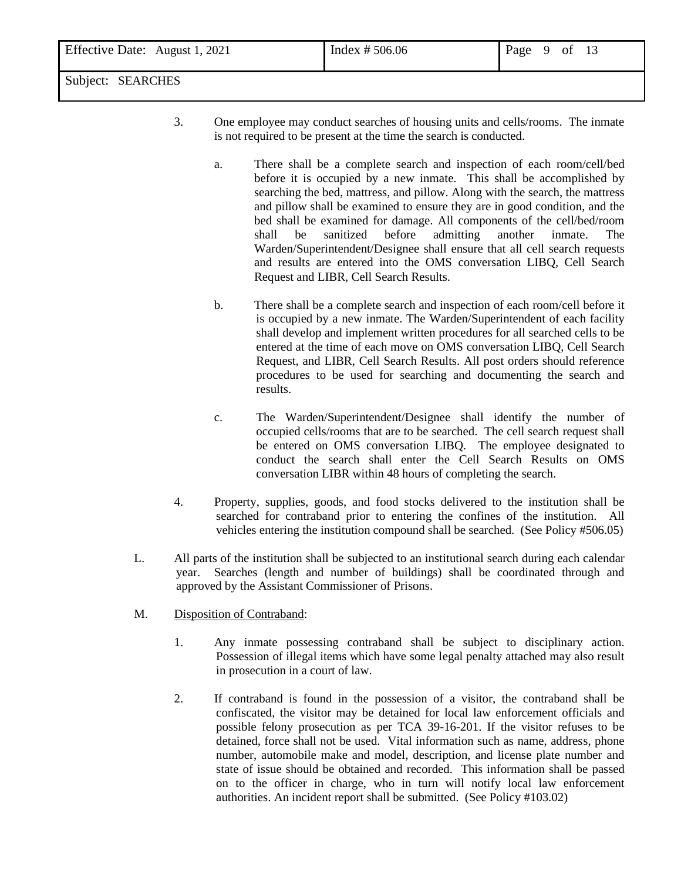- 3. One employee may conduct searches of housing units and cells/rooms. The inmate is not required to be present at the time the search is conducted.
	- a. There shall be a complete search and inspection of each room/cell/bed before it is occupied by a new inmate. This shall be accomplished by searching the bed, mattress, and pillow. Along with the search, the mattress and pillow shall be examined to ensure they are in good condition, and the bed shall be examined for damage. All components of the cell/bed/room shall be sanitized before admitting another inmate. The Warden/Superintendent/Designee shall ensure that all cell search requests and results are entered into the OMS conversation LIBQ, Cell Search Request and LIBR, Cell Search Results.
	- b. There shall be a complete search and inspection of each room/cell before it is occupied by a new inmate. The Warden/Superintendent of each facility shall develop and implement written procedures for all searched cells to be entered at the time of each move on OMS conversation LIBQ, Cell Search Request, and LIBR, Cell Search Results. All post orders should reference procedures to be used for searching and documenting the search and results.
	- c. The Warden/Superintendent/Designee shall identify the number of occupied cells/rooms that are to be searched. The cell search request shall be entered on OMS conversation LIBQ. The employee designated to conduct the search shall enter the Cell Search Results on OMS conversation LIBR within 48 hours of completing the search.
- 4. Property, supplies, goods, and food stocks delivered to the institution shall be searched for contraband prior to entering the confines of the institution. All vehicles entering the institution compound shall be searched. (See Policy #506.05)
- L. All parts of the institution shall be subjected to an institutional search during each calendar year. Searches (length and number of buildings) shall be coordinated through and approved by the Assistant Commissioner of Prisons.
- M. Disposition of Contraband:
	- 1. Any inmate possessing contraband shall be subject to disciplinary action. Possession of illegal items which have some legal penalty attached may also result in prosecution in a court of law.
	- 2. If contraband is found in the possession of a visitor, the contraband shall be confiscated, the visitor may be detained for local law enforcement officials and possible felony prosecution as per TCA 39-16-201. If the visitor refuses to be detained, force shall not be used. Vital information such as name, address, phone number, automobile make and model, description, and license plate number and state of issue should be obtained and recorded. This information shall be passed on to the officer in charge, who in turn will notify local law enforcement authorities. An incident report shall be submitted. (See Policy #103.02)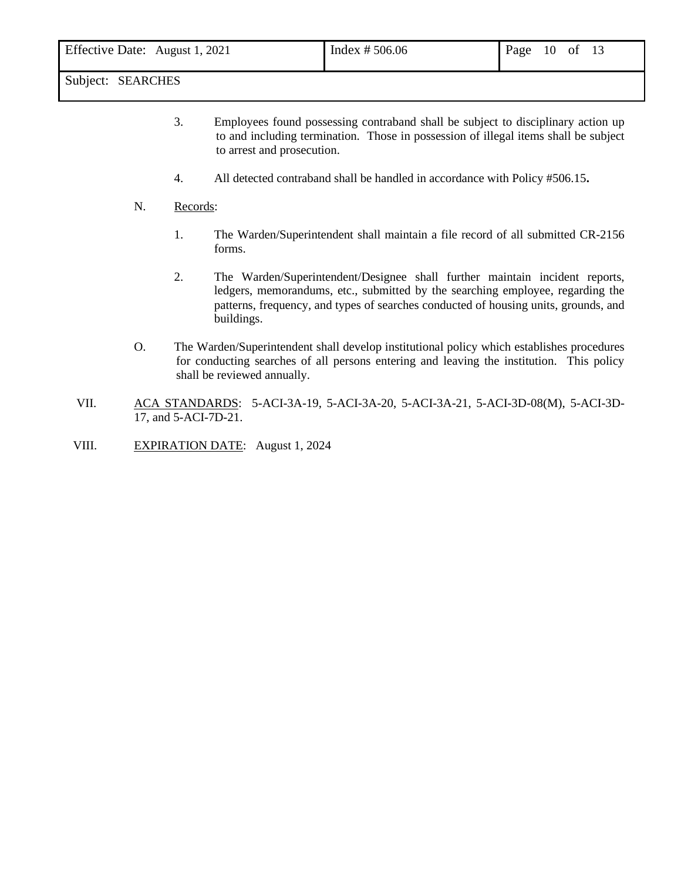| Effective Date: August 1, 2021 | Index $# 506.06$ | Page<br>10<br>- of |
|--------------------------------|------------------|--------------------|
| $\sim$ $\sim$                  |                  |                    |

- 3. Employees found possessing contraband shall be subject to disciplinary action up to and including termination. Those in possession of illegal items shall be subject to arrest and prosecution.
- 4. All detected contraband shall be handled in accordance with Policy #506.15**.**
- N. Records:
	- 1. The Warden/Superintendent shall maintain a file record of all submitted CR-2156 forms.
	- 2. The Warden/Superintendent/Designee shall further maintain incident reports, ledgers, memorandums, etc., submitted by the searching employee, regarding the patterns, frequency, and types of searches conducted of housing units, grounds, and buildings.
- O. The Warden/Superintendent shall develop institutional policy which establishes procedures for conducting searches of all persons entering and leaving the institution. This policy shall be reviewed annually.
- VII. ACA STANDARDS: 5-ACI-3A-19, 5-ACI-3A-20, 5-ACI-3A-21, 5-ACI-3D-08(M), 5-ACI-3D-17, and 5-ACI-7D-21.
- VIII. EXPIRATION DATE: August 1, 2024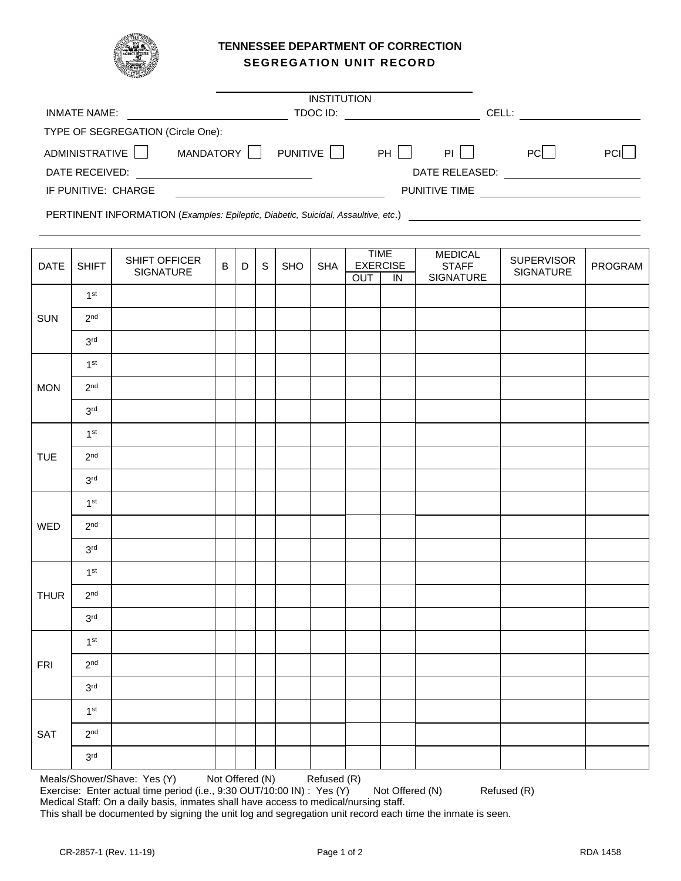

# **TENNESSEE DEPARTMENT OF CORRECTION SEGREGATION UNIT RECORD**

|                                   |           | <b>INSTITUTION</b> |       |                      |            |      |
|-----------------------------------|-----------|--------------------|-------|----------------------|------------|------|
| <b>INMATE NAME:</b>               |           |                    | CELL: |                      |            |      |
| TYPE OF SEGREGATION (Circle One): |           |                    |       |                      |            |      |
| ADMINISTRATIVE                    | MANDATORY | PUNITIVE           | PH I  | <b>PI</b>            | <b>PCI</b> | PCII |
| DATE RECEIVED:                    |           |                    |       | DATE RELEASED:       |            |      |
| IF PUNITIVE: CHARGE               |           |                    |       | <b>PUNITIVE TIME</b> |            |      |

PERTINENT INFORMATION (*Examples: Epileptic, Diabetic, Suicidal, Assaultive, etc*.)

| DATE        | <b>SHIFT</b>    | SHIFT OFFICER | $\sf B$ | $\mathsf D$ | $\mathbb S$ | SHO | <b>SHA</b> |     | <b>TIME</b><br><b>EXERCISE</b> | <b>MEDICAL</b><br><b>STAFF</b> | <b>SUPERVISOR</b> | PROGRAM |
|-------------|-----------------|---------------|---------|-------------|-------------|-----|------------|-----|--------------------------------|--------------------------------|-------------------|---------|
|             |                 | SIGNATURE     |         |             |             |     |            | OUT | $\overline{I}$                 | SIGNATURE                      | SIGNATURE         |         |
|             | 1 <sup>st</sup> |               |         |             |             |     |            |     |                                |                                |                   |         |
| SUN         | 2 <sup>nd</sup> |               |         |             |             |     |            |     |                                |                                |                   |         |
|             | 3 <sup>rd</sup> |               |         |             |             |     |            |     |                                |                                |                   |         |
|             | 1 <sup>st</sup> |               |         |             |             |     |            |     |                                |                                |                   |         |
| <b>MON</b>  | 2 <sup>nd</sup> |               |         |             |             |     |            |     |                                |                                |                   |         |
|             | 3 <sup>rd</sup> |               |         |             |             |     |            |     |                                |                                |                   |         |
|             | 1 <sup>st</sup> |               |         |             |             |     |            |     |                                |                                |                   |         |
| <b>TUE</b>  | 2 <sup>nd</sup> |               |         |             |             |     |            |     |                                |                                |                   |         |
|             | 3 <sup>rd</sup> |               |         |             |             |     |            |     |                                |                                |                   |         |
|             | 1 <sup>st</sup> |               |         |             |             |     |            |     |                                |                                |                   |         |
| WED         | 2 <sup>nd</sup> |               |         |             |             |     |            |     |                                |                                |                   |         |
|             | 3 <sup>rd</sup> |               |         |             |             |     |            |     |                                |                                |                   |         |
|             | 1 <sup>st</sup> |               |         |             |             |     |            |     |                                |                                |                   |         |
| <b>THUR</b> | 2 <sup>nd</sup> |               |         |             |             |     |            |     |                                |                                |                   |         |
|             | 3 <sup>rd</sup> |               |         |             |             |     |            |     |                                |                                |                   |         |
|             | 1 <sup>st</sup> |               |         |             |             |     |            |     |                                |                                |                   |         |
| <b>FRI</b>  | 2 <sup>nd</sup> |               |         |             |             |     |            |     |                                |                                |                   |         |
|             | 3 <sup>rd</sup> |               |         |             |             |     |            |     |                                |                                |                   |         |
|             | 1 <sup>st</sup> |               |         |             |             |     |            |     |                                |                                |                   |         |
| SAT         | 2 <sup>nd</sup> |               |         |             |             |     |            |     |                                |                                |                   |         |
|             | 3 <sup>rd</sup> |               |         |             |             |     |            |     |                                |                                |                   |         |

Meals/Shower/Shave: Yes (Y) Not Offered (N) Refused (R) Exercise: Enter actual time period (i.e., 9:30 OUT/10:00 IN) : Yes (Y) Not Offered (N) Refused (R) Medical Staff: On a daily basis, inmates shall have access to medical/nursing staff. This shall be documented by signing the unit log and segregation unit record each time the inmate is seen.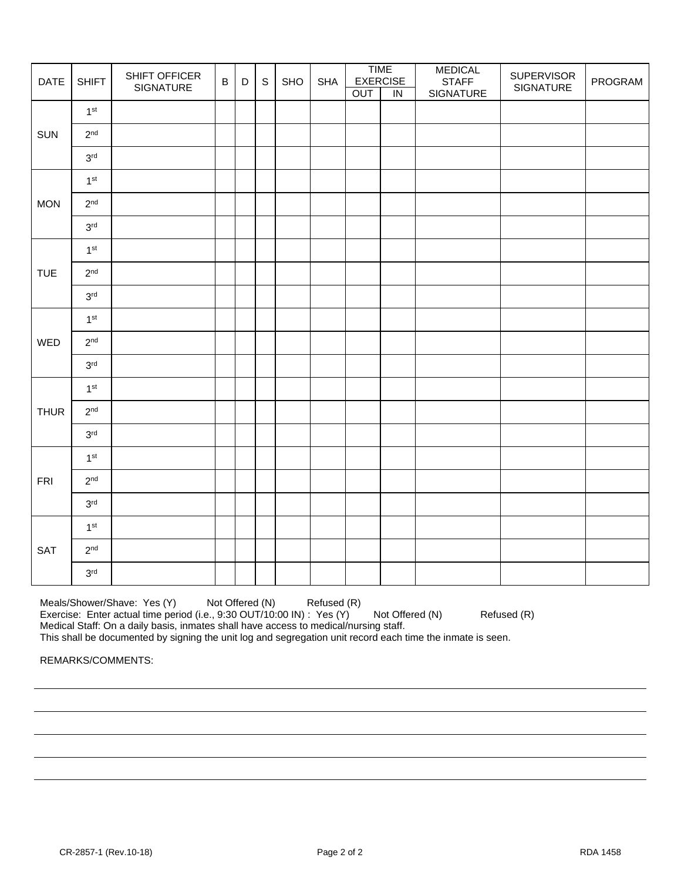| DATE        | <b>SHIFT</b>    | SHIFT OFFICER<br>SIGNATURE | $\overline{B}$ | $\mathsf D$ | $\mathbb S$ | SHO | <b>SHA</b> |     | <b>TIME</b><br><b>EXERCISE</b> | <b>MEDICAL</b><br><b>STAFF</b> | <b>SUPERVISOR</b><br>SIGNATURE | PROGRAM |
|-------------|-----------------|----------------------------|----------------|-------------|-------------|-----|------------|-----|--------------------------------|--------------------------------|--------------------------------|---------|
|             |                 |                            |                |             |             |     |            | OUT | $\overline{N}$                 | SIGNATURE                      |                                |         |
|             | 1 <sup>st</sup> |                            |                |             |             |     |            |     |                                |                                |                                |         |
| SUN         | 2 <sup>nd</sup> |                            |                |             |             |     |            |     |                                |                                |                                |         |
|             | 3 <sup>rd</sup> |                            |                |             |             |     |            |     |                                |                                |                                |         |
|             | 1 <sup>st</sup> |                            |                |             |             |     |            |     |                                |                                |                                |         |
| <b>MON</b>  | 2 <sup>nd</sup> |                            |                |             |             |     |            |     |                                |                                |                                |         |
|             | 3 <sup>rd</sup> |                            |                |             |             |     |            |     |                                |                                |                                |         |
|             | 1 <sup>st</sup> |                            |                |             |             |     |            |     |                                |                                |                                |         |
| <b>TUE</b>  | 2 <sup>nd</sup> |                            |                |             |             |     |            |     |                                |                                |                                |         |
|             | 3 <sup>rd</sup> |                            |                |             |             |     |            |     |                                |                                |                                |         |
|             | 1 <sup>st</sup> |                            |                |             |             |     |            |     |                                |                                |                                |         |
| WED         | 2 <sup>nd</sup> |                            |                |             |             |     |            |     |                                |                                |                                |         |
|             | $3^{\rm rd}$    |                            |                |             |             |     |            |     |                                |                                |                                |         |
|             | 1 <sup>st</sup> |                            |                |             |             |     |            |     |                                |                                |                                |         |
| <b>THUR</b> | 2 <sup>nd</sup> |                            |                |             |             |     |            |     |                                |                                |                                |         |
|             | 3 <sup>rd</sup> |                            |                |             |             |     |            |     |                                |                                |                                |         |
|             | 1 <sup>st</sup> |                            |                |             |             |     |            |     |                                |                                |                                |         |
| <b>FRI</b>  | 2 <sup>nd</sup> |                            |                |             |             |     |            |     |                                |                                |                                |         |
|             | 3 <sup>rd</sup> |                            |                |             |             |     |            |     |                                |                                |                                |         |
|             | 1 <sup>st</sup> |                            |                |             |             |     |            |     |                                |                                |                                |         |
| SAT         | 2 <sup>nd</sup> |                            |                |             |             |     |            |     |                                |                                |                                |         |
|             | 3 <sup>rd</sup> |                            |                |             |             |     |            |     |                                |                                |                                |         |

Meals/Shower/Shave: Yes (Y) Not Offered (N) Refused (R) Exercise: Enter actual time period (i.e., 9:30 OUT/10:00 IN) : Yes (Y) Not Offered (N) Refused (R) Medical Staff: On a daily basis, inmates shall have access to medical/nursing staff.

This shall be documented by signing the unit log and segregation unit record each time the inmate is seen.

REMARKS/COMMENTS: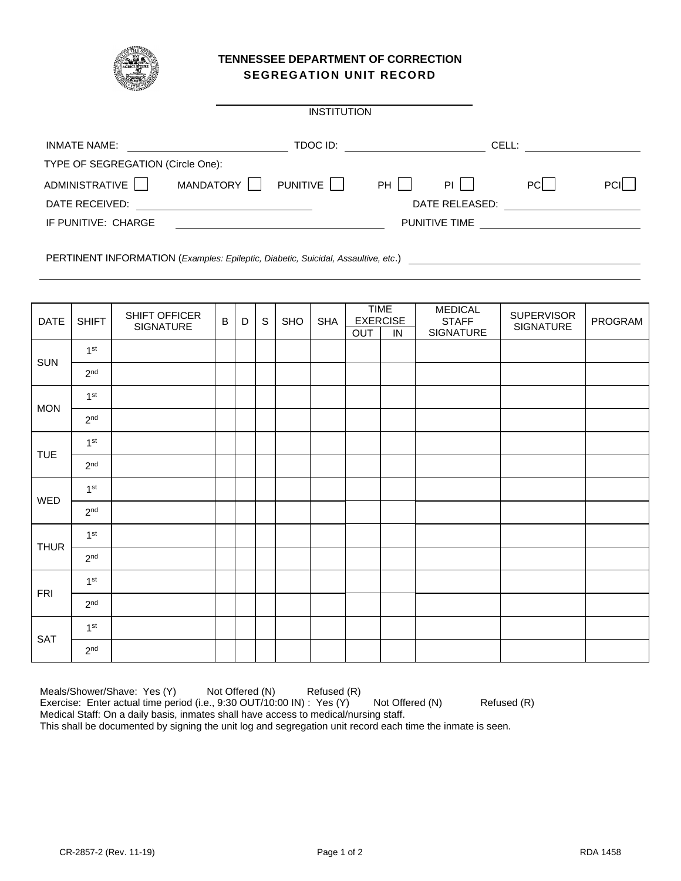

## **TENNESSEE DEPARTMENT OF CORRECTION SEGREGATION UNIT RECORD**

|                                   |                                                                                                                    | <b>INSTITUTION</b>       |    |                      |       |            |
|-----------------------------------|--------------------------------------------------------------------------------------------------------------------|--------------------------|----|----------------------|-------|------------|
| INMATE NAME:                      | <u> 1980 - Jan Stein Harry Harry Harry Harry Harry Harry Harry Harry Harry Harry Harry Harry Harry Harry Harry</u> | TDOC ID: <u>________</u> |    |                      | CELL: |            |
| TYPE OF SEGREGATION (Circle One): |                                                                                                                    |                          |    |                      |       |            |
| ADMINISTRATIVE                    | MANDATORY                                                                                                          | PUNITIVE                 | PH | $PI$                 | PCL   | <b>PCI</b> |
| DATE RECEIVED:                    |                                                                                                                    |                          |    | DATE RELEASED:       |       |            |
| IF PUNITIVE: CHARGE               |                                                                                                                    |                          |    | <b>PUNITIVE TIME</b> |       |            |
|                                   |                                                                                                                    |                          |    |                      |       |            |

PERTINENT INFORMATION (*Examples: Epileptic, Diabetic, Suicidal, Assaultive, etc*.)

| <b>DATE</b> | <b>SHIFT</b>    | SHIFT OFFICER<br>SIGNATURE | B | D | $\mathbb S$ | <b>SHO</b> | <b>SHA</b> | OUT | <b>TIME</b><br><b>EXERCISE</b><br>$\overline{N}$ | <b>MEDICAL</b><br><b>STAFF</b><br>SIGNATURE | <b>SUPERVISOR</b><br>SIGNATURE | PROGRAM |
|-------------|-----------------|----------------------------|---|---|-------------|------------|------------|-----|--------------------------------------------------|---------------------------------------------|--------------------------------|---------|
|             | 1 <sup>st</sup> |                            |   |   |             |            |            |     |                                                  |                                             |                                |         |
| <b>SUN</b>  | 2 <sup>nd</sup> |                            |   |   |             |            |            |     |                                                  |                                             |                                |         |
| <b>MON</b>  | 1 <sup>st</sup> |                            |   |   |             |            |            |     |                                                  |                                             |                                |         |
|             | 2 <sup>nd</sup> |                            |   |   |             |            |            |     |                                                  |                                             |                                |         |
| <b>TUE</b>  | 1 <sup>st</sup> |                            |   |   |             |            |            |     |                                                  |                                             |                                |         |
|             | 2 <sup>nd</sup> |                            |   |   |             |            |            |     |                                                  |                                             |                                |         |
| WED         | 1 <sup>st</sup> |                            |   |   |             |            |            |     |                                                  |                                             |                                |         |
|             | 2 <sup>nd</sup> |                            |   |   |             |            |            |     |                                                  |                                             |                                |         |
| <b>THUR</b> | 1 <sup>st</sup> |                            |   |   |             |            |            |     |                                                  |                                             |                                |         |
|             | 2 <sup>nd</sup> |                            |   |   |             |            |            |     |                                                  |                                             |                                |         |
| <b>FRI</b>  | 1 <sup>st</sup> |                            |   |   |             |            |            |     |                                                  |                                             |                                |         |
|             | 2 <sup>nd</sup> |                            |   |   |             |            |            |     |                                                  |                                             |                                |         |
| SAT         | 1 <sup>st</sup> |                            |   |   |             |            |            |     |                                                  |                                             |                                |         |
|             | 2 <sup>nd</sup> |                            |   |   |             |            |            |     |                                                  |                                             |                                |         |

Meals/Shower/Shave: Yes (Y) Not Offered (N) Refused (R) Exercise: Enter actual time period (i.e., 9:30 OUT/10:00 IN) : Yes (Y) Not Offered (N) Refused (R) Medical Staff: On a daily basis, inmates shall have access to medical/nursing staff. This shall be documented by signing the unit log and segregation unit record each time the inmate is seen.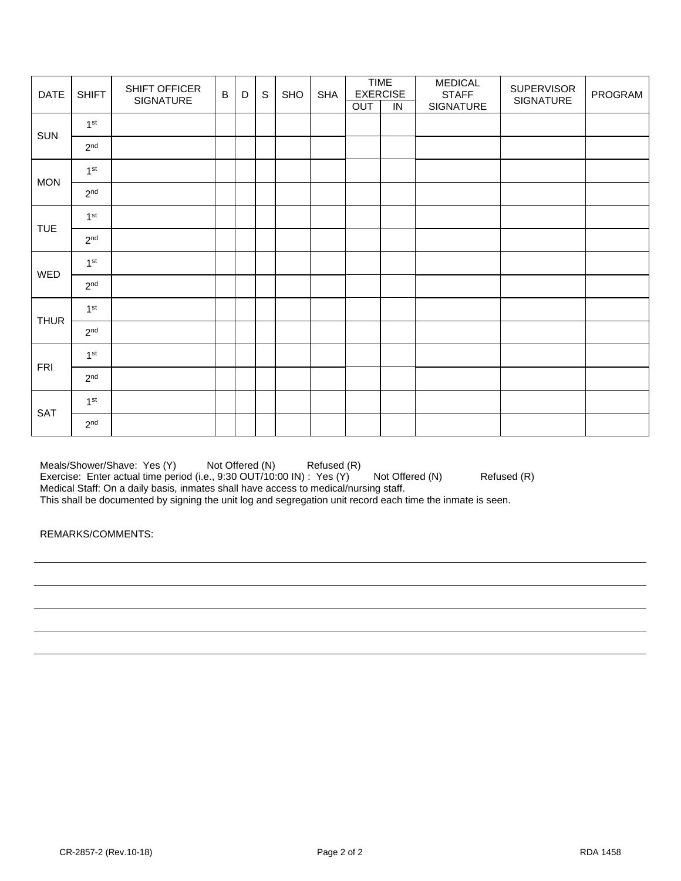| <b>DATE</b> | <b>SHIFT</b>    | SHIFT OFFICER<br>SIGNATURE | $\mathsf{B}$ | D | $\mathsf S$ | <b>SHO</b> | <b>SHA</b> | OUT | <b>TIME</b><br><b>EXERCISE</b><br>IN | <b>MEDICAL</b><br><b>STAFF</b><br>SIGNATURE | <b>SUPERVISOR</b><br>SIGNATURE | PROGRAM |
|-------------|-----------------|----------------------------|--------------|---|-------------|------------|------------|-----|--------------------------------------|---------------------------------------------|--------------------------------|---------|
|             | 1 <sup>st</sup> |                            |              |   |             |            |            |     |                                      |                                             |                                |         |
| <b>SUN</b>  | 2 <sup>nd</sup> |                            |              |   |             |            |            |     |                                      |                                             |                                |         |
| <b>MON</b>  | 1 <sup>st</sup> |                            |              |   |             |            |            |     |                                      |                                             |                                |         |
|             | 2 <sup>nd</sup> |                            |              |   |             |            |            |     |                                      |                                             |                                |         |
|             | 1 <sup>st</sup> |                            |              |   |             |            |            |     |                                      |                                             |                                |         |
| <b>TUE</b>  | 2 <sup>nd</sup> |                            |              |   |             |            |            |     |                                      |                                             |                                |         |
| WED         | 1 <sup>st</sup> |                            |              |   |             |            |            |     |                                      |                                             |                                |         |
|             | 2 <sup>nd</sup> |                            |              |   |             |            |            |     |                                      |                                             |                                |         |
| <b>THUR</b> | 1 <sup>st</sup> |                            |              |   |             |            |            |     |                                      |                                             |                                |         |
|             | 2 <sup>nd</sup> |                            |              |   |             |            |            |     |                                      |                                             |                                |         |
| <b>FRI</b>  | 1 <sup>st</sup> |                            |              |   |             |            |            |     |                                      |                                             |                                |         |
|             | 2 <sup>nd</sup> |                            |              |   |             |            |            |     |                                      |                                             |                                |         |
| <b>SAT</b>  | 1 <sup>st</sup> |                            |              |   |             |            |            |     |                                      |                                             |                                |         |
|             | 2 <sup>nd</sup> |                            |              |   |             |            |            |     |                                      |                                             |                                |         |

Meals/Shower/Shave: Yes (Y) Not Offered (N) Refused (R) Exercise: Enter actual time period (i.e., 9:30 OUT/10:00 IN) : Yes (Y) Not Offered (N) Refused (R) Medical Staff: On a daily basis, inmates shall have access to medical/nursing staff. This shall be documented by signing the unit log and segregation unit record each time the inmate is seen.

REMARKS/COMMENTS: